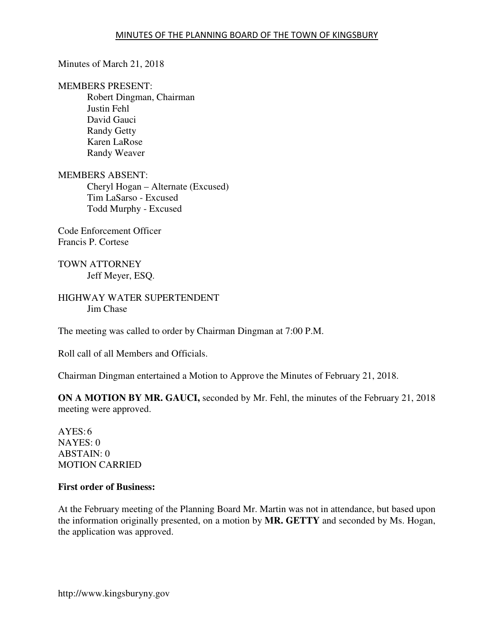Minutes of March 21, 2018

MEMBERS PRESENT:

Robert Dingman, Chairman Justin Fehl David Gauci Randy Getty Karen LaRose Randy Weaver

MEMBERS ABSENT: Cheryl Hogan – Alternate (Excused) Tim LaSarso - Excused Todd Murphy - Excused

Code Enforcement Officer Francis P. Cortese

TOWN ATTORNEY Jeff Meyer, ESQ.

HIGHWAY WATER SUPERTENDENT Jim Chase

The meeting was called to order by Chairman Dingman at 7:00 P.M.

Roll call of all Members and Officials.

Chairman Dingman entertained a Motion to Approve the Minutes of February 21, 2018.

**ON A MOTION BY MR. GAUCI,** seconded by Mr. Fehl, the minutes of the February 21, 2018 meeting were approved.

 $AYES:6$ NAYES: 0 ABSTAIN: 0 MOTION CARRIED

### **First order of Business:**

At the February meeting of the Planning Board Mr. Martin was not in attendance, but based upon the information originally presented, on a motion by **MR. GETTY** and seconded by Ms. Hogan, the application was approved.

http://www.kingsburyny.gov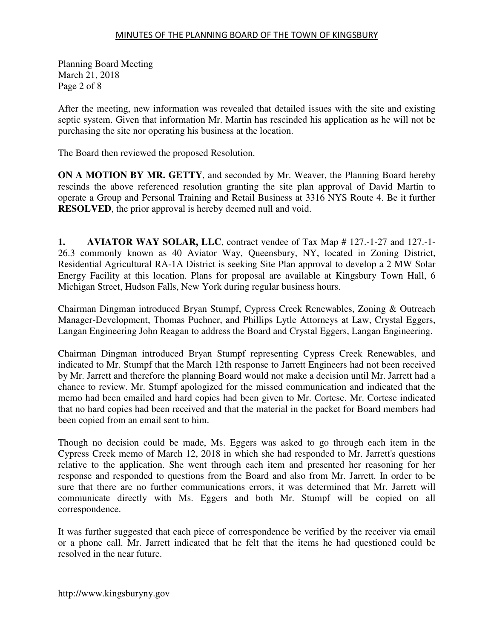Planning Board Meeting March 21, 2018 Page 2 of 8

After the meeting, new information was revealed that detailed issues with the site and existing septic system. Given that information Mr. Martin has rescinded his application as he will not be purchasing the site nor operating his business at the location.

The Board then reviewed the proposed Resolution.

**ON A MOTION BY MR. GETTY**, and seconded by Mr. Weaver, the Planning Board hereby rescinds the above referenced resolution granting the site plan approval of David Martin to operate a Group and Personal Training and Retail Business at 3316 NYS Route 4. Be it further **RESOLVED**, the prior approval is hereby deemed null and void.

**1. AVIATOR WAY SOLAR, LLC**, contract vendee of Tax Map # 127.-1-27 and 127.-1- 26.3 commonly known as 40 Aviator Way, Queensbury, NY, located in Zoning District, Residential Agricultural RA-1A District is seeking Site Plan approval to develop a 2 MW Solar Energy Facility at this location. Plans for proposal are available at Kingsbury Town Hall, 6 Michigan Street, Hudson Falls, New York during regular business hours.

Chairman Dingman introduced Bryan Stumpf, Cypress Creek Renewables, Zoning & Outreach Manager-Development, Thomas Puchner, and Phillips Lytle Attorneys at Law, Crystal Eggers, Langan Engineering John Reagan to address the Board and Crystal Eggers, Langan Engineering.

Chairman Dingman introduced Bryan Stumpf representing Cypress Creek Renewables, and indicated to Mr. Stumpf that the March 12th response to Jarrett Engineers had not been received by Mr. Jarrett and therefore the planning Board would not make a decision until Mr. Jarrett had a chance to review. Mr. Stumpf apologized for the missed communication and indicated that the memo had been emailed and hard copies had been given to Mr. Cortese. Mr. Cortese indicated that no hard copies had been received and that the material in the packet for Board members had been copied from an email sent to him.

Though no decision could be made, Ms. Eggers was asked to go through each item in the Cypress Creek memo of March 12, 2018 in which she had responded to Mr. Jarrett's questions relative to the application. She went through each item and presented her reasoning for her response and responded to questions from the Board and also from Mr. Jarrett. In order to be sure that there are no further communications errors, it was determined that Mr. Jarrett will communicate directly with Ms. Eggers and both Mr. Stumpf will be copied on all correspondence.

It was further suggested that each piece of correspondence be verified by the receiver via email or a phone call. Mr. Jarrett indicated that he felt that the items he had questioned could be resolved in the near future.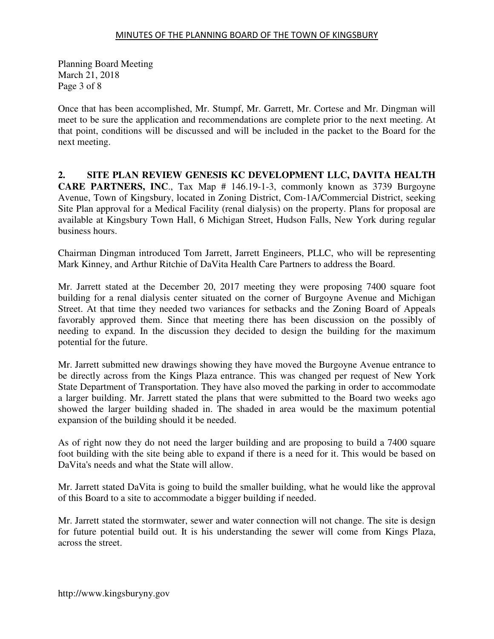Planning Board Meeting March 21, 2018 Page 3 of 8

Once that has been accomplished, Mr. Stumpf, Mr. Garrett, Mr. Cortese and Mr. Dingman will meet to be sure the application and recommendations are complete prior to the next meeting. At that point, conditions will be discussed and will be included in the packet to the Board for the next meeting.

**2. SITE PLAN REVIEW GENESIS KC DEVELOPMENT LLC, DAVITA HEALTH CARE PARTNERS, INC**., Tax Map # 146.19-1-3, commonly known as 3739 Burgoyne Avenue, Town of Kingsbury, located in Zoning District, Com-1A/Commercial District, seeking Site Plan approval for a Medical Facility (renal dialysis) on the property. Plans for proposal are available at Kingsbury Town Hall, 6 Michigan Street, Hudson Falls, New York during regular business hours.

Chairman Dingman introduced Tom Jarrett, Jarrett Engineers, PLLC, who will be representing Mark Kinney, and Arthur Ritchie of DaVita Health Care Partners to address the Board.

Mr. Jarrett stated at the December 20, 2017 meeting they were proposing 7400 square foot building for a renal dialysis center situated on the corner of Burgoyne Avenue and Michigan Street. At that time they needed two variances for setbacks and the Zoning Board of Appeals favorably approved them. Since that meeting there has been discussion on the possibly of needing to expand. In the discussion they decided to design the building for the maximum potential for the future.

Mr. Jarrett submitted new drawings showing they have moved the Burgoyne Avenue entrance to be directly across from the Kings Plaza entrance. This was changed per request of New York State Department of Transportation. They have also moved the parking in order to accommodate a larger building. Mr. Jarrett stated the plans that were submitted to the Board two weeks ago showed the larger building shaded in. The shaded in area would be the maximum potential expansion of the building should it be needed.

As of right now they do not need the larger building and are proposing to build a 7400 square foot building with the site being able to expand if there is a need for it. This would be based on DaVita's needs and what the State will allow.

Mr. Jarrett stated DaVita is going to build the smaller building, what he would like the approval of this Board to a site to accommodate a bigger building if needed.

Mr. Jarrett stated the stormwater, sewer and water connection will not change. The site is design for future potential build out. It is his understanding the sewer will come from Kings Plaza, across the street.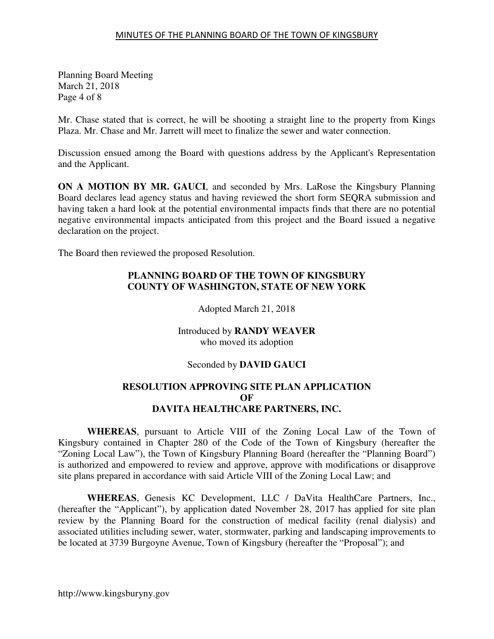Planning Board Meeting March 21, 2018 Page 4 of 8

Mr. Chase stated that is correct, he will be shooting a straight line to the property from Kings Plaza. Mr. Chase and Mr. Jarrett will meet to finalize the sewer and water connection.

Discussion ensued among the Board with questions address by the Applicant's Representation and the Applicant.

**ON A MOTION BY MR. GAUCI**, and seconded by Mrs. LaRose the Kingsbury Planning Board declares lead agency status and having reviewed the short form SEQRA submission and having taken a hard look at the potential environmental impacts finds that there are no potential negative environmental impacts anticipated from this project and the Board issued a negative declaration on the project.

The Board then reviewed the proposed Resolution.

# **PLANNING BOARD OF THE TOWN OF KINGSBURY COUNTY OF WASHINGTON, STATE OF NEW YORK**

Adopted March 21, 2018

Introduced by **RANDY WEAVER**  who moved its adoption

## Seconded by **DAVID GAUCI**

### **RESOLUTION APPROVING SITE PLAN APPLICATION OF DAVITA HEALTHCARE PARTNERS, INC.**

**WHEREAS**, pursuant to Article VIII of the Zoning Local Law of the Town of Kingsbury contained in Chapter 280 of the Code of the Town of Kingsbury (hereafter the "Zoning Local Law"), the Town of Kingsbury Planning Board (hereafter the "Planning Board") is authorized and empowered to review and approve, approve with modifications or disapprove site plans prepared in accordance with said Article VIII of the Zoning Local Law; and

**WHEREAS**, Genesis KC Development, LLC / DaVita HealthCare Partners, Inc., (hereafter the "Applicant"), by application dated November 28, 2017 has applied for site plan review by the Planning Board for the construction of medical facility (renal dialysis) and associated utilities including sewer, water, stormwater, parking and landscaping improvements to be located at 3739 Burgoyne Avenue, Town of Kingsbury (hereafter the "Proposal"); and

http://www.kingsburyny.gov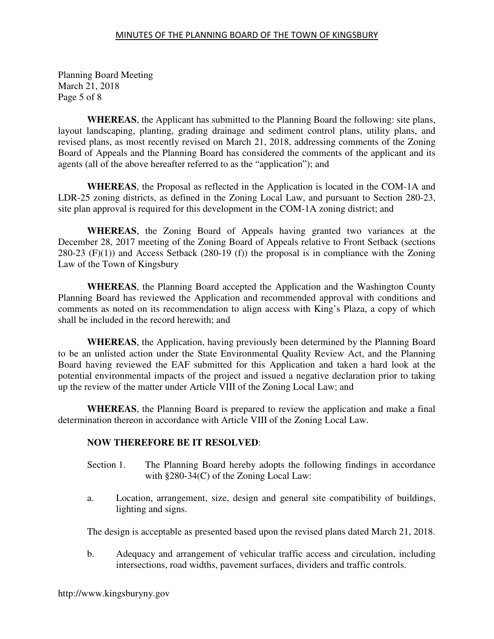Planning Board Meeting March 21, 2018 Page 5 of 8

**WHEREAS**, the Applicant has submitted to the Planning Board the following: site plans, layout landscaping, planting, grading drainage and sediment control plans, utility plans, and revised plans, as most recently revised on March 21, 2018, addressing comments of the Zoning Board of Appeals and the Planning Board has considered the comments of the applicant and its agents (all of the above hereafter referred to as the "application"); and

**WHEREAS**, the Proposal as reflected in the Application is located in the COM-1A and LDR-25 zoning districts, as defined in the Zoning Local Law, and pursuant to Section 280-23, site plan approval is required for this development in the COM-1A zoning district; and

**WHEREAS**, the Zoning Board of Appeals having granted two variances at the December 28, 2017 meeting of the Zoning Board of Appeals relative to Front Setback (sections 280-23  $(F)(1)$  and Access Setback (280-19  $(f)$ ) the proposal is in compliance with the Zoning Law of the Town of Kingsbury

**WHEREAS**, the Planning Board accepted the Application and the Washington County Planning Board has reviewed the Application and recommended approval with conditions and comments as noted on its recommendation to align access with King's Plaza, a copy of which shall be included in the record herewith; and

**WHEREAS**, the Application, having previously been determined by the Planning Board to be an unlisted action under the State Environmental Quality Review Act, and the Planning Board having reviewed the EAF submitted for this Application and taken a hard look at the potential environmental impacts of the project and issued a negative declaration prior to taking up the review of the matter under Article VIII of the Zoning Local Law; and

**WHEREAS**, the Planning Board is prepared to review the application and make a final determination thereon in accordance with Article VIII of the Zoning Local Law.

## **NOW THEREFORE BE IT RESOLVED**:

- Section 1. The Planning Board hereby adopts the following findings in accordance with §280-34(C) of the Zoning Local Law:
- a. Location, arrangement, size, design and general site compatibility of buildings, lighting and signs.

The design is acceptable as presented based upon the revised plans dated March 21, 2018.

 b. Adequacy and arrangement of vehicular traffic access and circulation, including intersections, road widths, pavement surfaces, dividers and traffic controls.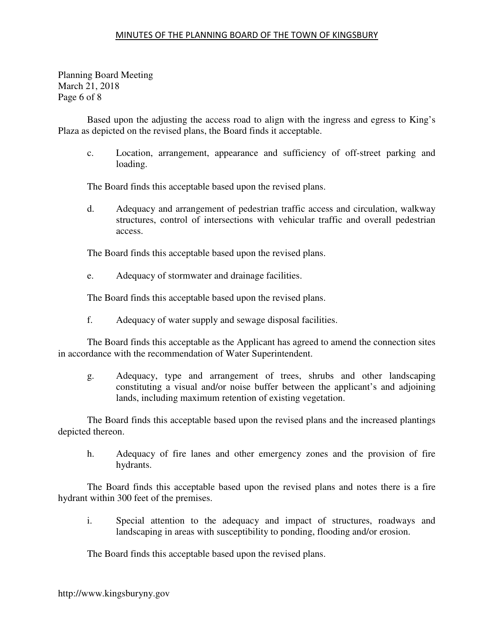#### MINUTES OF THE PLANNING BOARD OF THE TOWN OF KINGSBURY

Planning Board Meeting March 21, 2018 Page 6 of 8

 Based upon the adjusting the access road to align with the ingress and egress to King's Plaza as depicted on the revised plans, the Board finds it acceptable.

 c. Location, arrangement, appearance and sufficiency of off-street parking and loading.

The Board finds this acceptable based upon the revised plans.

 d. Adequacy and arrangement of pedestrian traffic access and circulation, walkway structures, control of intersections with vehicular traffic and overall pedestrian access.

The Board finds this acceptable based upon the revised plans.

e. Adequacy of stormwater and drainage facilities.

The Board finds this acceptable based upon the revised plans.

f. Adequacy of water supply and sewage disposal facilities.

 The Board finds this acceptable as the Applicant has agreed to amend the connection sites in accordance with the recommendation of Water Superintendent.

 g. Adequacy, type and arrangement of trees, shrubs and other landscaping constituting a visual and/or noise buffer between the applicant's and adjoining lands, including maximum retention of existing vegetation.

 The Board finds this acceptable based upon the revised plans and the increased plantings depicted thereon.

 h. Adequacy of fire lanes and other emergency zones and the provision of fire hydrants.

 The Board finds this acceptable based upon the revised plans and notes there is a fire hydrant within 300 feet of the premises.

 i. Special attention to the adequacy and impact of structures, roadways and landscaping in areas with susceptibility to ponding, flooding and/or erosion.

The Board finds this acceptable based upon the revised plans.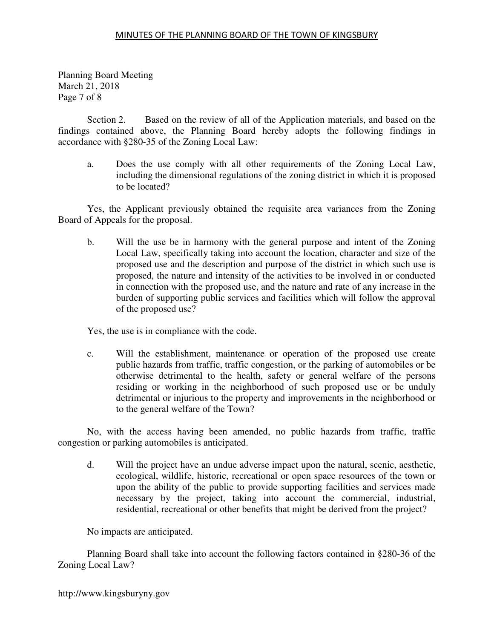#### MINUTES OF THE PLANNING BOARD OF THE TOWN OF KINGSBURY

Planning Board Meeting March 21, 2018 Page 7 of 8

 Section 2. Based on the review of all of the Application materials, and based on the findings contained above, the Planning Board hereby adopts the following findings in accordance with §280-35 of the Zoning Local Law:

 a. Does the use comply with all other requirements of the Zoning Local Law, including the dimensional regulations of the zoning district in which it is proposed to be located?

 Yes, the Applicant previously obtained the requisite area variances from the Zoning Board of Appeals for the proposal.

 b. Will the use be in harmony with the general purpose and intent of the Zoning Local Law, specifically taking into account the location, character and size of the proposed use and the description and purpose of the district in which such use is proposed, the nature and intensity of the activities to be involved in or conducted in connection with the proposed use, and the nature and rate of any increase in the burden of supporting public services and facilities which will follow the approval of the proposed use?

Yes, the use is in compliance with the code.

 c. Will the establishment, maintenance or operation of the proposed use create public hazards from traffic, traffic congestion, or the parking of automobiles or be otherwise detrimental to the health, safety or general welfare of the persons residing or working in the neighborhood of such proposed use or be unduly detrimental or injurious to the property and improvements in the neighborhood or to the general welfare of the Town?

 No, with the access having been amended, no public hazards from traffic, traffic congestion or parking automobiles is anticipated.

 d. Will the project have an undue adverse impact upon the natural, scenic, aesthetic, ecological, wildlife, historic, recreational or open space resources of the town or upon the ability of the public to provide supporting facilities and services made necessary by the project, taking into account the commercial, industrial, residential, recreational or other benefits that might be derived from the project?

No impacts are anticipated.

 Planning Board shall take into account the following factors contained in §280-36 of the Zoning Local Law?